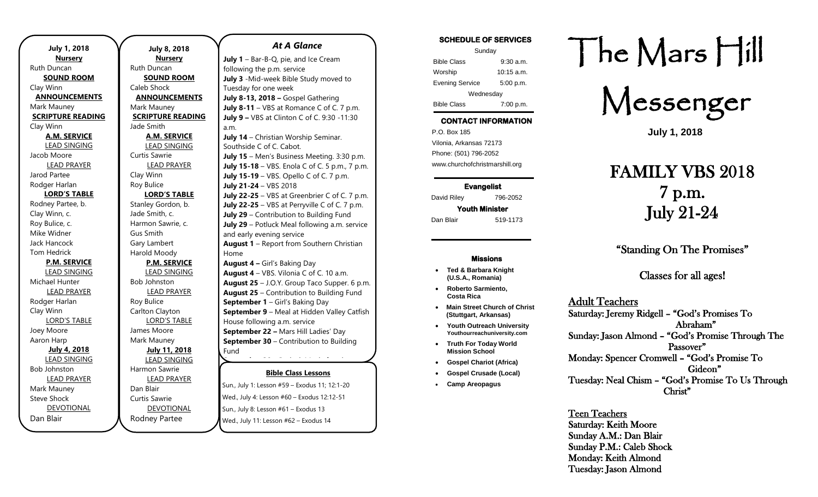| <b>July 1, 2018</b>      |
|--------------------------|
| <b>Nursery</b>           |
| Ruth Duncan              |
| <b>SOUND ROOM</b>        |
| Clay Winn                |
| <b>ANNOUNCEMENTS</b>     |
| Mark Mauney              |
| <b>SCRIPTURE READING</b> |
| Clay Winn                |
| <b>A.M. SERVICE</b>      |
| <b>LEAD SINGING</b>      |
| Jacob Moore              |
| <b>LEAD PRAYER</b>       |
| Jarod Partee             |
| Rodger Harlan            |
| <b>LORD'S TABLE</b>      |
| Rodney Partee, b.        |
| Clay Winn, c.            |
| Roy Bulice, c.           |
| Mike Widner              |
| Jack Hancock             |
| <b>Tom Hedrick</b>       |
| <b>P.M. SERVICE</b>      |
| <b>LEAD SINGING</b>      |
| Michael Hunter           |
| <b>LEAD PRAYER</b>       |
| Rodger Harlan            |
| Clay Winn                |
| <b>LORD'S TABLE</b>      |
| Joey Moore               |
| Aaron Harp               |
| July 4, 2018             |
| <b>LEAD SINGING</b>      |
| <b>Bob Johnston</b>      |
| <b>LEAD PRAYER</b>       |
| Mark Mauney              |
| <b>Steve Shock</b>       |
| <b>DEVOTIONAL</b>        |
| Dan Blair                |

**July 8, 2018 Nursery** Ruth Duncan **SOUND ROOM** Caleb Shock **ANNOUNCEMENTS** Mark Mauney **SCRIPTURE READING** Jade Smith **A.M. SERVICE** LEAD SINGING Curtis Sawrie LEAD PRAYER Clay Winn Roy Bulice **LORD'S TABLE** Stanley Gordon, b. Jade Smith, c. Harmon Sawrie, c. Gus Smith Gary Lambert Harold Moody **P.M. SERVICE** LEAD SINGING Bob Johnston LEAD PRAYER Roy Bulice Carlton Clayton LORD'S TABLE James Moore Mark Mauney **July 11, 2018** LEAD SINGING Harmon Sawrie LEAD PRAYER Dan Blair Curtis Sawrie DEVOTIONAL Rodney Partee

## **Bible Class Lessons** Sun., July 1: Lesson #59 – Exodus 11; 12:1-20 **October 6** – Girl's Baking Day *At A Glance*  July 1 - Bar-B-Q, pie, and Ice Cream following the p.m. service **July 3** -Mid-week Bible Study moved to Tuesday for one week **July 8-13, 2018 –** Gospel Gathering **July 8-11** – VBS at Romance C of C. 7 p.m. **July 9 –** VBS at Clinton C of C. 9:30 -11:30 a.m. **July 14** – Christian Worship Seminar. Southside C of C. Cabot. **July 15** – Men's Business Meeting. 3:30 p.m. **July 15-18** – VBS. Enola C of C. 5 p.m., 7 p.m. **July 15-19** – VBS. Opello C of C. 7 p.m. **July 21-24** – VBS 2018 **July 22-25** – VBS at Greenbrier C of C. 7 p.m. **July 22-25** – VBS at Perryville C of C. 7 p.m. **July 29** – Contribution to Building Fund **July 29** – Potluck Meal following a.m. service and early evening service **August 1** – Report from Southern Christian Home **August 4 –** Girl's Baking Day **August 4** – VBS. Vilonia C of C. 10 a.m. **August 25** – J.O.Y. Group Taco Supper. 6 p.m. **August 25** – Contribution to Building Fund **September 1** – Girl's Baking Day **September 9** – Meal at Hidden Valley Catfish House following a.m. service **September 22 –** Mars Hill Ladies' Day **September 30** – Contribution to Building Fund **September 30** – Potluck Meal after the a.m.

Wed., July 4: Lesson #60 – Exodus 12:12-51 Sun., July 8: Lesson #61 - Exodus 13 Wed., July 11: Lesson #62 – Exodus 14 **November 3** – Girl's Baking Day

### **SCHEDULE OF SERVICES**

| Sunday                 |              |  |
|------------------------|--------------|--|
| <b>Bible Class</b>     | $9:30$ a.m.  |  |
| Worship                | $10:15$ a.m. |  |
| <b>Evening Service</b> | 5:00 p.m.    |  |
| Wednesday              |              |  |
| <b>Bible Class</b>     | 7:00 p.m.    |  |

## **CONTACT INFORMATION**

. .o. Box 166<br>Vilonia, Arkansas 72173 P.O. Box 185 Phone: (501) 796-2052 www.churchofchristmarshill.org

**Evangelist**  David Riley 796-2052

# **Youth Minister**

Dan Blair 519-1173

#### **Missions**

- **Ted & Barbara Knight (U.S.A., Romania)**
- **Roberto Sarmiento, Costa Rica**
- **Main Street Church of Christ (Stuttgart, Arkansas)** • **Youth Outreach University**
- **Youthourreachuniversity.com** • **Truth For Today World Mission School**
- **Gospel Chariot (Africa)**
	- **Gospel Crusade (Local)**
- **Camp Areopagus**

# The Mars Hill

Messenger

**July 1, 2018**

# FAMILY VBS 2018 7 p.m. July 21-24

"Standing On The Promises"

Classes for all ages!

## Adult Teachers

Saturday: Jeremy Ridgell – "God's Promises To Abraham" Sunday: Jason Almond – "God's Promise Through The Passover" Monday: Spencer Cromwell – "God's Promise To Gideon" Tuesday: Neal Chism – "God's Promise To Us Through Christ"

Teen Teachers Saturday: Keith Moore Sunday A.M.: Dan Blair Sunday P.M.: Caleb Shock Monday: Keith Almond Tuesday: Jason Almond